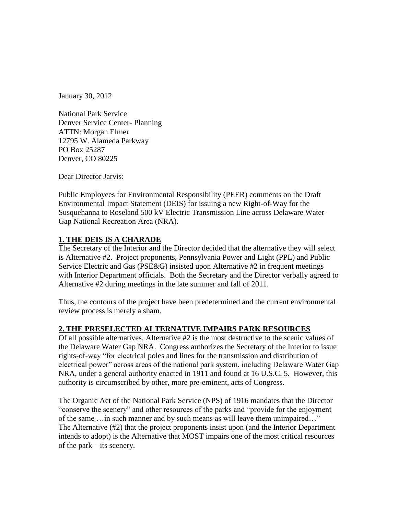January 30, 2012

National Park Service Denver Service Center- Planning ATTN: Morgan Elmer 12795 W. Alameda Parkway PO Box 25287 Denver, CO 80225

Dear Director Jarvis:

Public Employees for Environmental Responsibility (PEER) comments on the Draft Environmental Impact Statement (DEIS) for issuing a new Right-of-Way for the Susquehanna to Roseland 500 kV Electric Transmission Line across Delaware Water Gap National Recreation Area (NRA).

### **1. THE DEIS IS A CHARADE**

The Secretary of the Interior and the Director decided that the alternative they will select is Alternative #2. Project proponents, Pennsylvania Power and Light (PPL) and Public Service Electric and Gas (PSE&G) insisted upon Alternative #2 in frequent meetings with Interior Department officials. Both the Secretary and the Director verbally agreed to Alternative #2 during meetings in the late summer and fall of 2011.

Thus, the contours of the project have been predetermined and the current environmental review process is merely a sham.

# **2. THE PRESELECTED ALTERNATIVE IMPAIRS PARK RESOURCES**

Of all possible alternatives, Alternative #2 is the most destructive to the scenic values of the Delaware Water Gap NRA. Congress authorizes the Secretary of the Interior to issue rights-of-way "for electrical poles and lines for the transmission and distribution of electrical power" across areas of the national park system, including Delaware Water Gap NRA, under a general authority enacted in 1911 and found at 16 U.S.C. 5. However, this authority is circumscribed by other, more pre-eminent, acts of Congress.

The Organic Act of the National Park Service (NPS) of 1916 mandates that the Director "conserve the scenery" and other resources of the parks and "provide for the enjoyment of the same …in such manner and by such means as will leave them unimpaired…" The Alternative (#2) that the project proponents insist upon (and the Interior Department intends to adopt) is the Alternative that MOST impairs one of the most critical resources of the park – its scenery.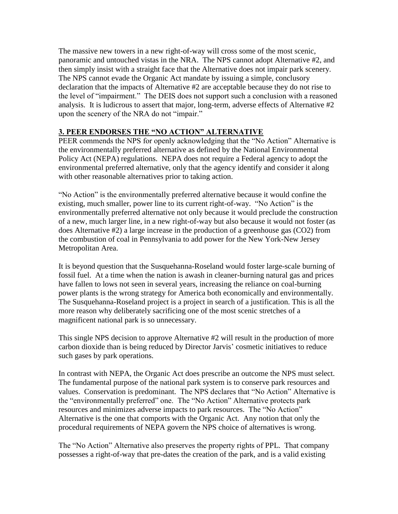The massive new towers in a new right-of-way will cross some of the most scenic, panoramic and untouched vistas in the NRA. The NPS cannot adopt Alternative #2, and then simply insist with a straight face that the Alternative does not impair park scenery. The NPS cannot evade the Organic Act mandate by issuing a simple, conclusory declaration that the impacts of Alternative #2 are acceptable because they do not rise to the level of "impairment." The DEIS does not support such a conclusion with a reasoned analysis. It is ludicrous to assert that major, long-term, adverse effects of Alternative #2 upon the scenery of the NRA do not "impair."

#### **3. PEER ENDORSES THE "NO ACTION" ALTERNATIVE**

PEER commends the NPS for openly acknowledging that the "No Action" Alternative is the environmentally preferred alternative as defined by the National Environmental Policy Act (NEPA) regulations. NEPA does not require a Federal agency to adopt the environmental preferred alternative, only that the agency identify and consider it along with other reasonable alternatives prior to taking action.

"No Action" is the environmentally preferred alternative because it would confine the existing, much smaller, power line to its current right-of-way. "No Action" is the environmentally preferred alternative not only because it would preclude the construction of a new, much larger line, in a new right-of-way but also because it would not foster (as does Alternative #2) a large increase in the production of a greenhouse gas (CO2) from the combustion of coal in Pennsylvania to add power for the New York-New Jersey Metropolitan Area.

It is beyond question that the Susquehanna-Roseland would foster large-scale burning of fossil fuel. At a time when the nation is awash in cleaner-burning natural gas and prices have fallen to lows not seen in several years, increasing the reliance on coal-burning power plants is the wrong strategy for America both economically and environmentally. The Susquehanna-Roseland project is a project in search of a justification. This is all the more reason why deliberately sacrificing one of the most scenic stretches of a magnificent national park is so unnecessary.

This single NPS decision to approve Alternative #2 will result in the production of more carbon dioxide than is being reduced by Director Jarvis' cosmetic initiatives to reduce such gases by park operations.

In contrast with NEPA, the Organic Act does prescribe an outcome the NPS must select. The fundamental purpose of the national park system is to conserve park resources and values. Conservation is predominant. The NPS declares that "No Action" Alternative is the "environmentally preferred" one. The "No Action" Alternative protects park resources and minimizes adverse impacts to park resources. The "No Action" Alternative is the one that comports with the Organic Act. Any notion that only the procedural requirements of NEPA govern the NPS choice of alternatives is wrong.

The "No Action" Alternative also preserves the property rights of PPL. That company possesses a right-of-way that pre-dates the creation of the park, and is a valid existing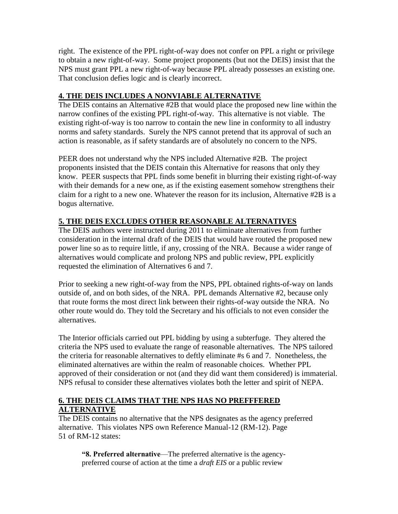right. The existence of the PPL right-of-way does not confer on PPL a right or privilege to obtain a new right-of-way. Some project proponents (but not the DEIS) insist that the NPS must grant PPL a new right-of-way because PPL already possesses an existing one. That conclusion defies logic and is clearly incorrect.

# **4. THE DEIS INCLUDES A NONVIABLE ALTERNATIVE**

The DEIS contains an Alternative #2B that would place the proposed new line within the narrow confines of the existing PPL right-of-way. This alternative is not viable. The existing right-of-way is too narrow to contain the new line in conformity to all industry norms and safety standards. Surely the NPS cannot pretend that its approval of such an action is reasonable, as if safety standards are of absolutely no concern to the NPS.

PEER does not understand why the NPS included Alternative #2B. The project proponents insisted that the DEIS contain this Alternative for reasons that only they know. PEER suspects that PPL finds some benefit in blurring their existing right-of-way with their demands for a new one, as if the existing easement somehow strengthens their claim for a right to a new one. Whatever the reason for its inclusion, Alternative #2B is a bogus alternative.

# **5. THE DEIS EXCLUDES OTHER REASONABLE ALTERNATIVES**

The DEIS authors were instructed during 2011 to eliminate alternatives from further consideration in the internal draft of the DEIS that would have routed the proposed new power line so as to require little, if any, crossing of the NRA. Because a wider range of alternatives would complicate and prolong NPS and public review, PPL explicitly requested the elimination of Alternatives 6 and 7.

Prior to seeking a new right-of-way from the NPS, PPL obtained rights-of-way on lands outside of, and on both sides, of the NRA. PPL demands Alternative #2, because only that route forms the most direct link between their rights-of-way outside the NRA. No other route would do. They told the Secretary and his officials to not even consider the alternatives.

The Interior officials carried out PPL bidding by using a subterfuge. They altered the criteria the NPS used to evaluate the range of reasonable alternatives. The NPS tailored the criteria for reasonable alternatives to deftly eliminate #s 6 and 7. Nonetheless, the eliminated alternatives are within the realm of reasonable choices. Whether PPL approved of their consideration or not (and they did want them considered) is immaterial. NPS refusal to consider these alternatives violates both the letter and spirit of NEPA.

### **6. THE DEIS CLAIMS THAT THE NPS HAS NO PREFFFERED ALTERNATIVE**

The DEIS contains no alternative that the NPS designates as the agency preferred alternative. This violates NPS own Reference Manual-12 (RM-12). Page 51 of RM-12 states:

**"8. Preferred alternative**—The preferred alternative is the agencypreferred course of action at the time a *draft EIS* or a public review